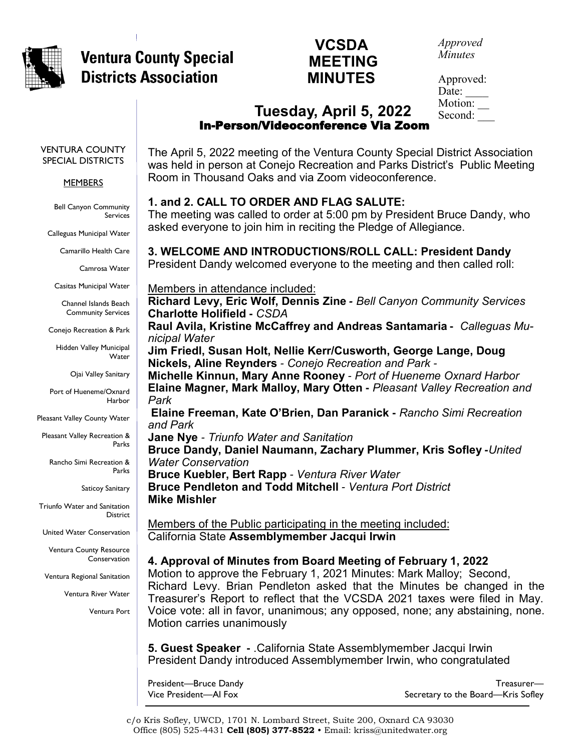

# **VCSDA**<br>MEETING **Ventura County Special ventura County Special MEETING<br>Districts Association MINUTES**

# **MINUTES**

*Approved Minutes*

Approved: Date: Motion: Second: \_\_\_

## **Tuesday, April 5, 2022**  In-Person/Videoconference Via Zoom

VENTURA COUNTY SPECIAL DISTRICTS

#### **MEMBERS**

Bell Canyon Community Services

Calleguas Municipal Water

Camarillo Health Care

Camrosa Water

Casitas Municipal Water

Channel Islands Beach Community Services

Conejo Recreation & Park

Hidden Valley Municipal Water

Ojai Valley Sanitary

Port of Hueneme/Oxnard Harbor

Pleasant Valley County Water

Pleasant Valley Recreation & Parks

Rancho Simi Recreation & Parks

Saticoy Sanitary

Triunfo Water and Sanitation District

United Water Conservation

Ventura County Resource **Conservation** 

Ventura Regional Sanitation

Ventura River Water

Ventura Port

The April 5, 2022 meeting of the Ventura County Special District Association was held in person at Conejo Recreation and Parks District's Public Meeting Room in Thousand Oaks and via Zoom videoconference.

#### **1. and 2. CALL TO ORDER AND FLAG SALUTE:**

The meeting was called to order at 5:00 pm by President Bruce Dandy, who asked everyone to join him in reciting the Pledge of Allegiance.

**3. WELCOME AND INTRODUCTIONS/ROLL CALL: President Dandy** President Dandy welcomed everyone to the meeting and then called roll:

Members in attendance included:

**Richard Levy, Eric Wolf, Dennis Zine** *- Bell Canyon Community Services*  **Charlotte Holifield -** *CSDA* 

**Raul Avila, Kristine McCaffrey and Andreas Santamaria -** *Calleguas Municipal Water* 

**Jim Friedl, Susan Holt, Nellie Kerr/Cusworth, George Lange, Doug Nickels, Aline Reynders** *- Conejo Recreation and Park -* 

**Michelle Kinnun, Mary Anne Rooney** *- Port of Hueneme Oxnard Harbor* **Elaine Magner, Mark Malloy, Mary Otten -** *Pleasant Valley Recreation and Park* 

**Elaine Freeman, Kate O'Brien, Dan Paranick -** *Rancho Simi Recreation and Park* 

**Jane Nye** *- Triunfo Water and Sanitation* 

**Bruce Dandy, Daniel Naumann, Zachary Plummer, Kris Sofley -***United Water Conservation* 

**Bruce Kuebler, Bert Rapp** *- Ventura River Water*  **Bruce Pendleton and Todd Mitchell** *- Ventura Port District*  **Mike Mishler**

Members of the Public participating in the meeting included: California State **Assemblymember Jacqui Irwin**

**4. Approval of Minutes from Board Meeting of February 1, 2022**

Motion to approve the February 1, 2021 Minutes: Mark Malloy; Second, Richard Levy. Brian Pendleton asked that the Minutes be changed in the Treasurer's Report to reflect that the VCSDA 2021 taxes were filed in May. Voice vote: all in favor, unanimous; any opposed, none; any abstaining, none. Motion carries unanimously

**5. Guest Speaker -** .California State Assemblymember Jacqui Irwin President Dandy introduced Assemblymember Irwin, who congratulated

President—Bruce Dandy Vice President—Al Fox

Treasurer— Secretary to the Board—Kris Sofley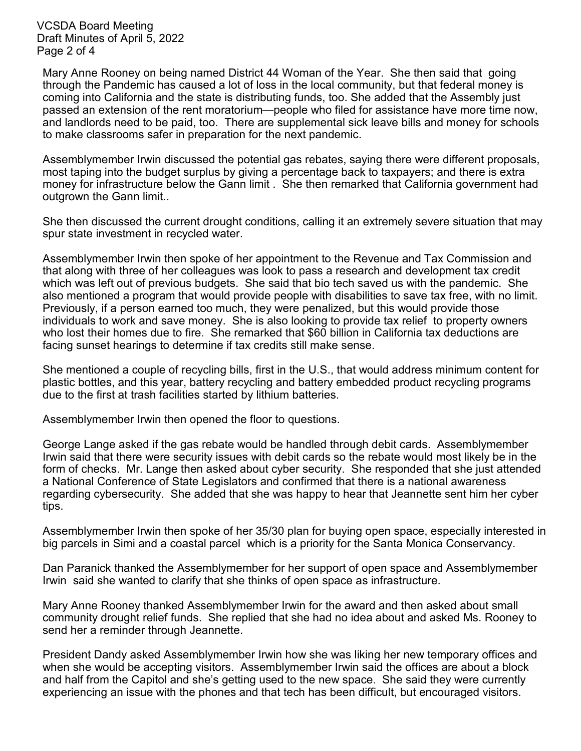VCSDA Board Meeting Draft Minutes of April 5, 2022 Page 2 of 4

Mary Anne Rooney on being named District 44 Woman of the Year. She then said that going through the Pandemic has caused a lot of loss in the local community, but that federal money is coming into California and the state is distributing funds, too. She added that the Assembly just passed an extension of the rent moratorium—people who filed for assistance have more time now, and landlords need to be paid, too. There are supplemental sick leave bills and money for schools to make classrooms safer in preparation for the next pandemic.

Assemblymember Irwin discussed the potential gas rebates, saying there were different proposals, most taping into the budget surplus by giving a percentage back to taxpayers; and there is extra money for infrastructure below the Gann limit . She then remarked that California government had outgrown the Gann limit..

She then discussed the current drought conditions, calling it an extremely severe situation that may spur state investment in recycled water.

Assemblymember Irwin then spoke of her appointment to the Revenue and Tax Commission and that along with three of her colleagues was look to pass a research and development tax credit which was left out of previous budgets. She said that bio tech saved us with the pandemic. She also mentioned a program that would provide people with disabilities to save tax free, with no limit. Previously, if a person earned too much, they were penalized, but this would provide those individuals to work and save money. She is also looking to provide tax relief to property owners who lost their homes due to fire. She remarked that \$60 billion in California tax deductions are facing sunset hearings to determine if tax credits still make sense.

She mentioned a couple of recycling bills, first in the U.S., that would address minimum content for plastic bottles, and this year, battery recycling and battery embedded product recycling programs due to the first at trash facilities started by lithium batteries.

Assemblymember Irwin then opened the floor to questions.

George Lange asked if the gas rebate would be handled through debit cards. Assemblymember Irwin said that there were security issues with debit cards so the rebate would most likely be in the form of checks. Mr. Lange then asked about cyber security. She responded that she just attended a National Conference of State Legislators and confirmed that there is a national awareness regarding cybersecurity. She added that she was happy to hear that Jeannette sent him her cyber tips.

Assemblymember Irwin then spoke of her 35/30 plan for buying open space, especially interested in big parcels in Simi and a coastal parcel which is a priority for the Santa Monica Conservancy.

Dan Paranick thanked the Assemblymember for her support of open space and Assemblymember Irwin said she wanted to clarify that she thinks of open space as infrastructure.

Mary Anne Rooney thanked Assemblymember Irwin for the award and then asked about small community drought relief funds. She replied that she had no idea about and asked Ms. Rooney to send her a reminder through Jeannette.

President Dandy asked Assemblymember Irwin how she was liking her new temporary offices and when she would be accepting visitors. Assemblymember Irwin said the offices are about a block and half from the Capitol and she's getting used to the new space. She said they were currently experiencing an issue with the phones and that tech has been difficult, but encouraged visitors.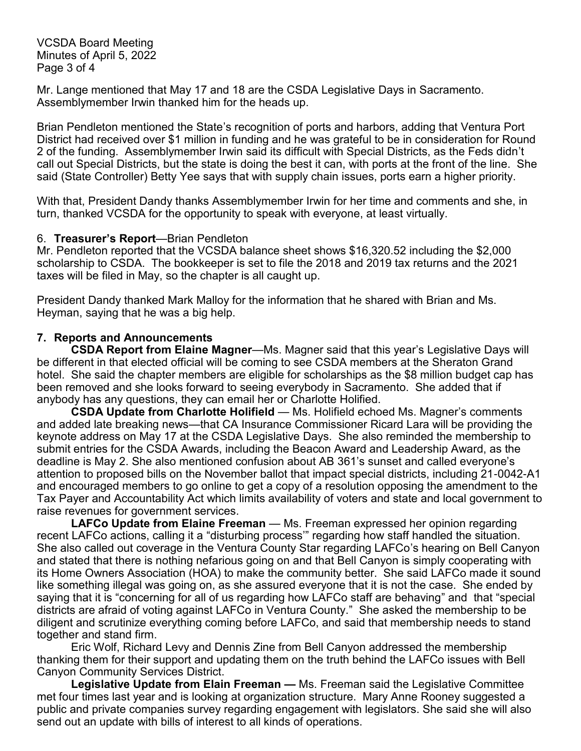VCSDA Board Meeting Minutes of April 5, 2022 Page 3 of 4

Mr. Lange mentioned that May 17 and 18 are the CSDA Legislative Days in Sacramento. Assemblymember Irwin thanked him for the heads up.

Brian Pendleton mentioned the State's recognition of ports and harbors, adding that Ventura Port District had received over \$1 million in funding and he was grateful to be in consideration for Round 2 of the funding. Assemblymember Irwin said its difficult with Special Districts, as the Feds didn't call out Special Districts, but the state is doing the best it can, with ports at the front of the line. She said (State Controller) Betty Yee says that with supply chain issues, ports earn a higher priority.

With that, President Dandy thanks Assemblymember Irwin for her time and comments and she, in turn, thanked VCSDA for the opportunity to speak with everyone, at least virtually.

#### 6. **Treasurer's Report**—Brian Pendleton

Mr. Pendleton reported that the VCSDA balance sheet shows \$16,320.52 including the \$2,000 scholarship to CSDA. The bookkeeper is set to file the 2018 and 2019 tax returns and the 2021 taxes will be filed in May, so the chapter is all caught up.

President Dandy thanked Mark Malloy for the information that he shared with Brian and Ms. Heyman, saying that he was a big help.

#### **7. Reports and Announcements**

**CSDA Report from Elaine Magner**—Ms. Magner said that this year's Legislative Days will be different in that elected official will be coming to see CSDA members at the Sheraton Grand hotel. She said the chapter members are eligible for scholarships as the \$8 million budget cap has been removed and she looks forward to seeing everybody in Sacramento. She added that if anybody has any questions, they can email her or Charlotte Holified.

**CSDA Update from Charlotte Holifield** — Ms. Holifield echoed Ms. Magner's comments and added late breaking news—that CA Insurance Commissioner Ricard Lara will be providing the keynote address on May 17 at the CSDA Legislative Days. She also reminded the membership to submit entries for the CSDA Awards, including the Beacon Award and Leadership Award, as the deadline is May 2. She also mentioned confusion about AB 361's sunset and called everyone's attention to proposed bills on the November ballot that impact special districts, including 21-0042-A1 and encouraged members to go online to get a copy of a resolution opposing the amendment to the Tax Payer and Accountability Act which limits availability of voters and state and local government to raise revenues for government services.

**LAFCo Update from Elaine Freeman** — Ms. Freeman expressed her opinion regarding recent LAFCo actions, calling it a "disturbing process'" regarding how staff handled the situation. She also called out coverage in the Ventura County Star regarding LAFCo's hearing on Bell Canyon and stated that there is nothing nefarious going on and that Bell Canyon is simply cooperating with its Home Owners Association (HOA) to make the community better. She said LAFCo made it sound like something illegal was going on, as she assured everyone that it is not the case. She ended by saying that it is "concerning for all of us regarding how LAFCo staff are behaving" and that "special districts are afraid of voting against LAFCo in Ventura County." She asked the membership to be diligent and scrutinize everything coming before LAFCo, and said that membership needs to stand together and stand firm.

Eric Wolf, Richard Levy and Dennis Zine from Bell Canyon addressed the membership thanking them for their support and updating them on the truth behind the LAFCo issues with Bell Canyon Community Services District.

**Legislative Update from Elain Freeman —** Ms. Freeman said the Legislative Committee met four times last year and is looking at organization structure. Mary Anne Rooney suggested a public and private companies survey regarding engagement with legislators. She said she will also send out an update with bills of interest to all kinds of operations.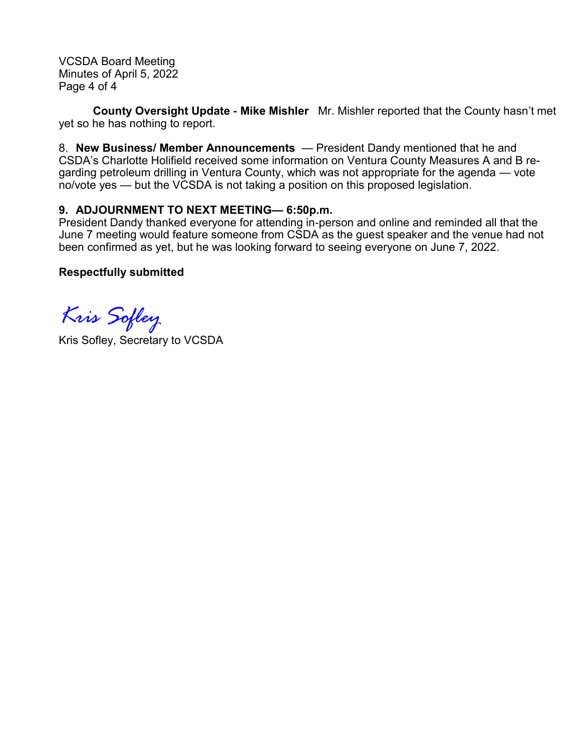VCSDA Board Meeting Minutes of April 5, 2022 Page 4 of 4

**County Oversight Update - Mike Mishler** Mr. Mishler reported that the County hasn't met yet so he has nothing to report.

8. **New Business/ Member Announcements** — President Dandy mentioned that he and CSDA's Charlotte Holifield received some information on Ventura County Measures A and B regarding petroleum drilling in Ventura County, which was not appropriate for the agenda — vote no/vote yes — but the VCSDA is not taking a position on this proposed legislation.

#### **9. ADJOURNMENT TO NEXT MEETING— 6:50p.m.**

President Dandy thanked everyone for attending in-person and online and reminded all that the June 7 meeting would feature someone from CSDA as the guest speaker and the venue had not been confirmed as yet, but he was looking forward to seeing everyone on June 7, 2022.

#### **Respectfully submitted**

*Kris Sofley*

Kris Sofley, Secretary to VCSDA